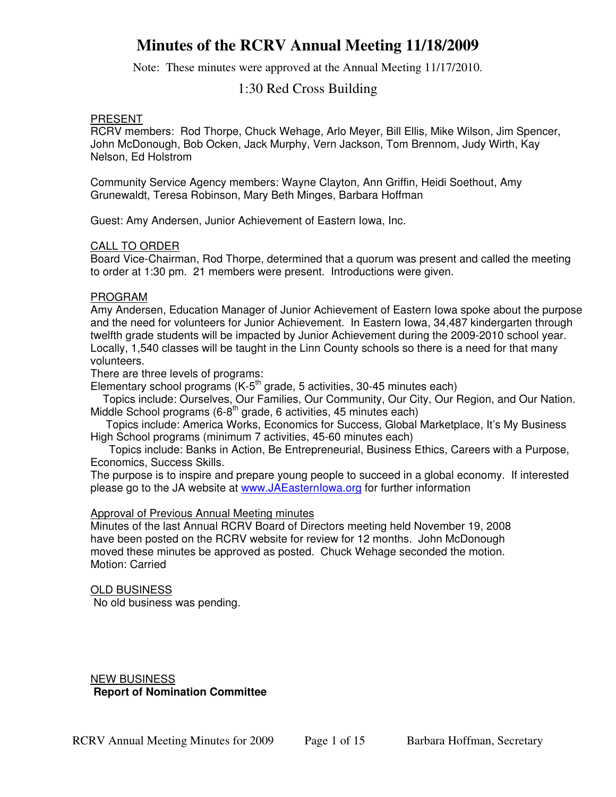Note: These minutes were approved at the Annual Meeting 11/17/2010.

## 1:30 Red Cross Building

#### PRESENT

RCRV members: Rod Thorpe, Chuck Wehage, Arlo Meyer, Bill Ellis, Mike Wilson, Jim Spencer, John McDonough, Bob Ocken, Jack Murphy, Vern Jackson, Tom Brennom, Judy Wirth, Kay Nelson, Ed Holstrom

Community Service Agency members: Wayne Clayton, Ann Griffin, Heidi Soethout, Amy Grunewaldt, Teresa Robinson, Mary Beth Minges, Barbara Hoffman

Guest: Amy Andersen, Junior Achievement of Eastern Iowa, Inc.

### CALL TO ORDER

Board Vice-Chairman, Rod Thorpe, determined that a quorum was present and called the meeting to order at 1:30 pm. 21 members were present. Introductions were given.

#### PROGRAM

Amy Andersen, Education Manager of Junior Achievement of Eastern Iowa spoke about the purpose and the need for volunteers for Junior Achievement. In Eastern Iowa, 34,487 kindergarten through twelfth grade students will be impacted by Junior Achievement during the 2009-2010 school year. Locally, 1,540 classes will be taught in the Linn County schools so there is a need for that many volunteers.

There are three levels of programs:

Elementary school programs (K-5<sup>th</sup> grade, 5 activities, 30-45 minutes each)

 Topics include: Ourselves, Our Families, Our Community, Our City, Our Region, and Our Nation. Middle School programs  $(6-8<sup>th</sup>$  grade, 6 activities, 45 minutes each)

 Topics include: America Works, Economics for Success, Global Marketplace, It's My Business High School programs (minimum 7 activities, 45-60 minutes each)

 Topics include: Banks in Action, Be Entrepreneurial, Business Ethics, Careers with a Purpose, Economics, Success Skills.

The purpose is to inspire and prepare young people to succeed in a global economy. If interested please go to the JA website at www.JAEasternlowa.org for further information

### Approval of Previous Annual Meeting minutes

Minutes of the last Annual RCRV Board of Directors meeting held November 19, 2008 have been posted on the RCRV website for review for 12 months. John McDonough moved these minutes be approved as posted. Chuck Wehage seconded the motion. Motion: Carried

#### **OLD BUSINESS**

No old business was pending.

### NEW BUSINESS **Report of Nomination Committee**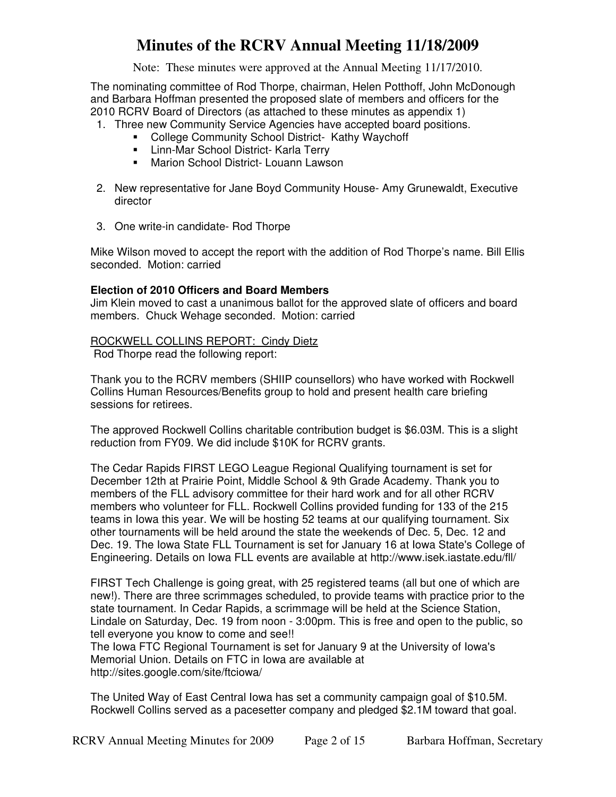Note: These minutes were approved at the Annual Meeting 11/17/2010.

The nominating committee of Rod Thorpe, chairman, Helen Potthoff, John McDonough and Barbara Hoffman presented the proposed slate of members and officers for the 2010 RCRV Board of Directors (as attached to these minutes as appendix 1)

- 1. Three new Community Service Agencies have accepted board positions.
	- College Community School District- Kathy Waychoff
	- **E.** Linn-Mar School District- Karla Terry
	- **Marion School District- Louann Lawson**
- 2. New representative for Jane Boyd Community House- Amy Grunewaldt, Executive director
- 3. One write-in candidate- Rod Thorpe

Mike Wilson moved to accept the report with the addition of Rod Thorpe's name. Bill Ellis seconded. Motion: carried

### **Election of 2010 Officers and Board Members**

Jim Klein moved to cast a unanimous ballot for the approved slate of officers and board members. Chuck Wehage seconded. Motion: carried

#### ROCKWELL COLLINS REPORT: Cindy Dietz

Rod Thorpe read the following report:

Thank you to the RCRV members (SHIIP counsellors) who have worked with Rockwell Collins Human Resources/Benefits group to hold and present health care briefing sessions for retirees.

The approved Rockwell Collins charitable contribution budget is \$6.03M. This is a slight reduction from FY09. We did include \$10K for RCRV grants.

The Cedar Rapids FIRST LEGO League Regional Qualifying tournament is set for December 12th at Prairie Point, Middle School & 9th Grade Academy. Thank you to members of the FLL advisory committee for their hard work and for all other RCRV members who volunteer for FLL. Rockwell Collins provided funding for 133 of the 215 teams in Iowa this year. We will be hosting 52 teams at our qualifying tournament. Six other tournaments will be held around the state the weekends of Dec. 5, Dec. 12 and Dec. 19. The Iowa State FLL Tournament is set for January 16 at Iowa State's College of Engineering. Details on Iowa FLL events are available at http://www.isek.iastate.edu/fll/

FIRST Tech Challenge is going great, with 25 registered teams (all but one of which are new!). There are three scrimmages scheduled, to provide teams with practice prior to the state tournament. In Cedar Rapids, a scrimmage will be held at the Science Station, Lindale on Saturday, Dec. 19 from noon - 3:00pm. This is free and open to the public, so tell everyone you know to come and see!!

The Iowa FTC Regional Tournament is set for January 9 at the University of Iowa's Memorial Union. Details on FTC in Iowa are available at http://sites.google.com/site/ftciowa/

The United Way of East Central Iowa has set a community campaign goal of \$10.5M. Rockwell Collins served as a pacesetter company and pledged \$2.1M toward that goal.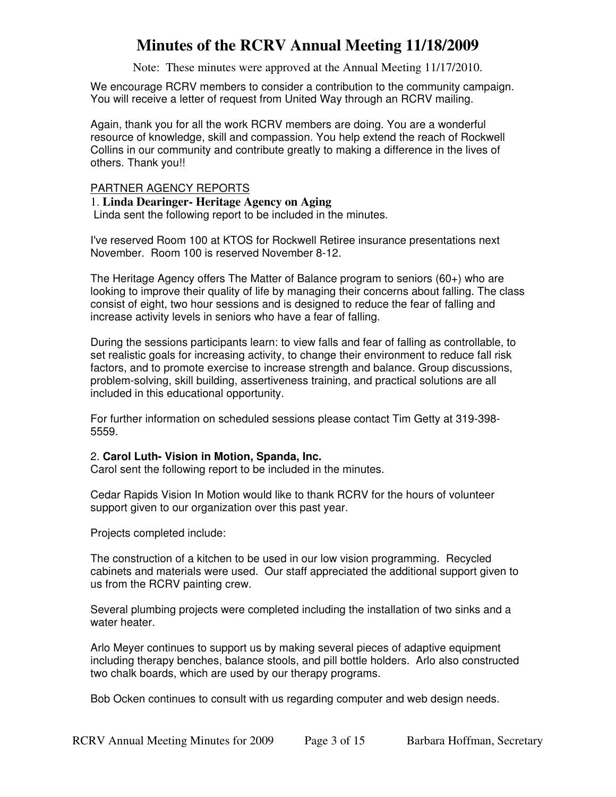Note: These minutes were approved at the Annual Meeting 11/17/2010.

We encourage RCRV members to consider a contribution to the community campaign. You will receive a letter of request from United Way through an RCRV mailing.

Again, thank you for all the work RCRV members are doing. You are a wonderful resource of knowledge, skill and compassion. You help extend the reach of Rockwell Collins in our community and contribute greatly to making a difference in the lives of others. Thank you!!

#### PARTNER AGENCY REPORTS

### 1. **Linda Dearinger- Heritage Agency on Aging**

Linda sent the following report to be included in the minutes.

I've reserved Room 100 at KTOS for Rockwell Retiree insurance presentations next November. Room 100 is reserved November 8-12.

The Heritage Agency offers The Matter of Balance program to seniors (60+) who are looking to improve their quality of life by managing their concerns about falling. The class consist of eight, two hour sessions and is designed to reduce the fear of falling and increase activity levels in seniors who have a fear of falling.

During the sessions participants learn: to view falls and fear of falling as controllable, to set realistic goals for increasing activity, to change their environment to reduce fall risk factors, and to promote exercise to increase strength and balance. Group discussions, problem-solving, skill building, assertiveness training, and practical solutions are all included in this educational opportunity.

For further information on scheduled sessions please contact Tim Getty at 319-398- 5559.

#### 2. **Carol Luth- Vision in Motion, Spanda, Inc.**

Carol sent the following report to be included in the minutes.

Cedar Rapids Vision In Motion would like to thank RCRV for the hours of volunteer support given to our organization over this past year.

Projects completed include:

The construction of a kitchen to be used in our low vision programming. Recycled cabinets and materials were used. Our staff appreciated the additional support given to us from the RCRV painting crew.

Several plumbing projects were completed including the installation of two sinks and a water heater.

Arlo Meyer continues to support us by making several pieces of adaptive equipment including therapy benches, balance stools, and pill bottle holders. Arlo also constructed two chalk boards, which are used by our therapy programs.

Bob Ocken continues to consult with us regarding computer and web design needs.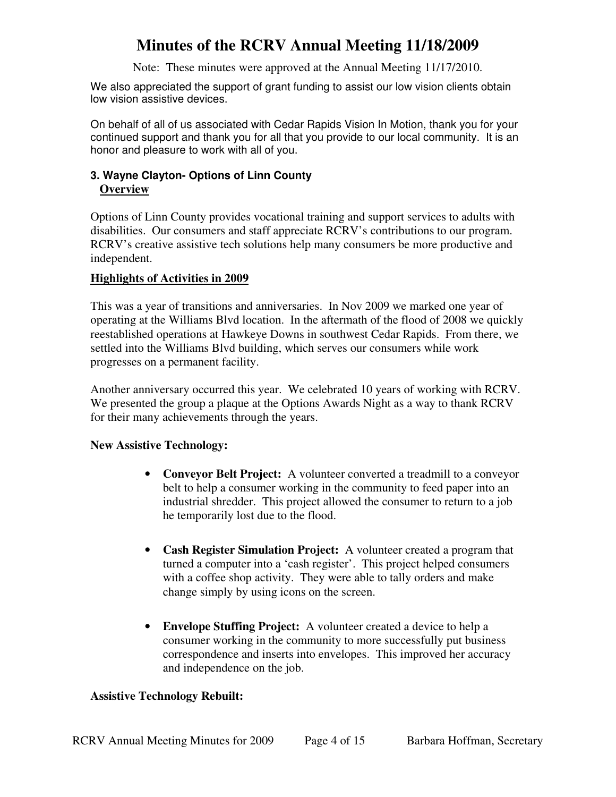Note: These minutes were approved at the Annual Meeting 11/17/2010.

We also appreciated the support of grant funding to assist our low vision clients obtain low vision assistive devices.

On behalf of all of us associated with Cedar Rapids Vision In Motion, thank you for your continued support and thank you for all that you provide to our local community. It is an honor and pleasure to work with all of you.

## **3. Wayne Clayton- Options of Linn County Overview**

Options of Linn County provides vocational training and support services to adults with disabilities. Our consumers and staff appreciate RCRV's contributions to our program. RCRV's creative assistive tech solutions help many consumers be more productive and independent.

## **Highlights of Activities in 2009**

This was a year of transitions and anniversaries. In Nov 2009 we marked one year of operating at the Williams Blvd location. In the aftermath of the flood of 2008 we quickly reestablished operations at Hawkeye Downs in southwest Cedar Rapids. From there, we settled into the Williams Blvd building, which serves our consumers while work progresses on a permanent facility.

Another anniversary occurred this year. We celebrated 10 years of working with RCRV. We presented the group a plaque at the Options Awards Night as a way to thank RCRV for their many achievements through the years.

### **New Assistive Technology:**

- **Conveyor Belt Project:** A volunteer converted a treadmill to a conveyor belt to help a consumer working in the community to feed paper into an industrial shredder. This project allowed the consumer to return to a job he temporarily lost due to the flood.
- **Cash Register Simulation Project:** A volunteer created a program that turned a computer into a 'cash register'. This project helped consumers with a coffee shop activity. They were able to tally orders and make change simply by using icons on the screen.
- **Envelope Stuffing Project:** A volunteer created a device to help a consumer working in the community to more successfully put business correspondence and inserts into envelopes. This improved her accuracy and independence on the job.

### **Assistive Technology Rebuilt:**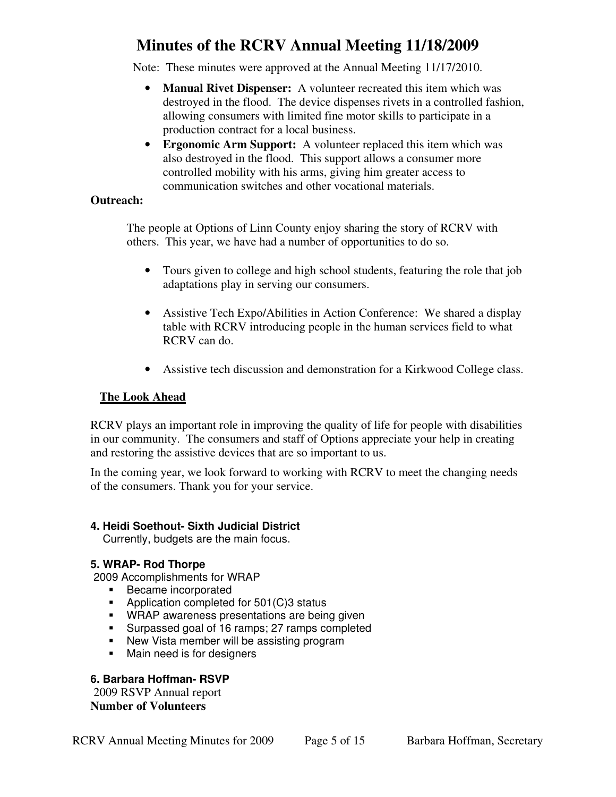Note: These minutes were approved at the Annual Meeting 11/17/2010.

- **Manual Rivet Dispenser:** A volunteer recreated this item which was destroyed in the flood. The device dispenses rivets in a controlled fashion, allowing consumers with limited fine motor skills to participate in a production contract for a local business.
- **Ergonomic Arm Support:** A volunteer replaced this item which was also destroyed in the flood. This support allows a consumer more controlled mobility with his arms, giving him greater access to communication switches and other vocational materials.

### **Outreach:**

The people at Options of Linn County enjoy sharing the story of RCRV with others. This year, we have had a number of opportunities to do so.

- Tours given to college and high school students, featuring the role that job adaptations play in serving our consumers.
- Assistive Tech Expo/Abilities in Action Conference: We shared a display table with RCRV introducing people in the human services field to what RCRV can do.
- Assistive tech discussion and demonstration for a Kirkwood College class.

## **The Look Ahead**

RCRV plays an important role in improving the quality of life for people with disabilities in our community. The consumers and staff of Options appreciate your help in creating and restoring the assistive devices that are so important to us.

In the coming year, we look forward to working with RCRV to meet the changing needs of the consumers. Thank you for your service.

## **4. Heidi Soethout- Sixth Judicial District**

Currently, budgets are the main focus.

## **5. WRAP- Rod Thorpe**

2009 Accomplishments for WRAP

- **Became incorporated**
- **-** Application completed for 501(C)3 status
- **WRAP** awareness presentations are being given
- **Surpassed goal of 16 ramps; 27 ramps completed**
- New Vista member will be assisting program
- **Main need is for designers**

## **6. Barbara Hoffman- RSVP**

 2009 RSVP Annual report **Number of Volunteers**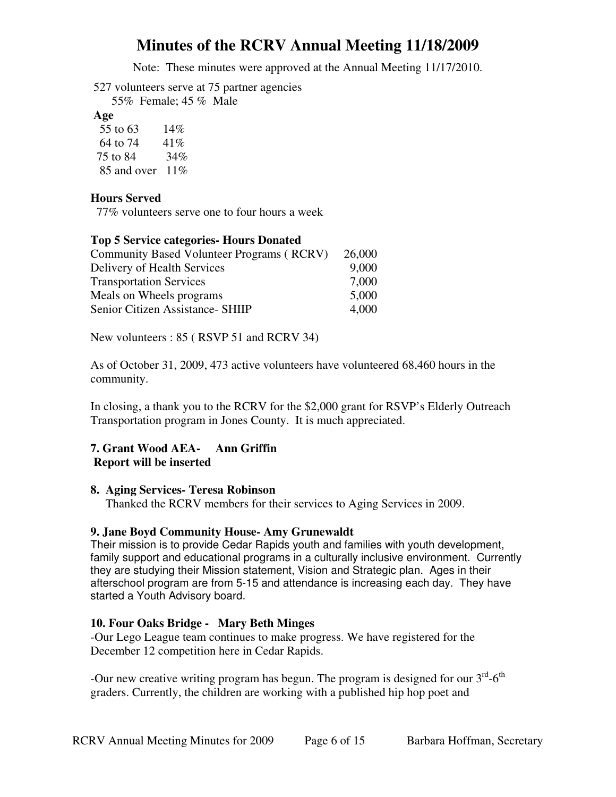Note: These minutes were approved at the Annual Meeting 11/17/2010.

527 volunteers serve at 75 partner agencies 55% Female; 45 % Male

**Age**

| 55 to 63    | 14%    |
|-------------|--------|
| 64 to 74    | 41%    |
| 75 to 84    | 34%    |
| 85 and over | $11\%$ |

### **Hours Served**

77% volunteers serve one to four hours a week

### **Top 5 Service categories- Hours Donated**

| Community Based Volunteer Programs (RCRV) | 26,000 |
|-------------------------------------------|--------|
| Delivery of Health Services               | 9,000  |
| <b>Transportation Services</b>            | 7,000  |
| Meals on Wheels programs                  | 5,000  |
| Senior Citizen Assistance- SHIIP          | 4.000  |

New volunteers : 85 ( RSVP 51 and RCRV 34)

As of October 31, 2009, 473 active volunteers have volunteered 68,460 hours in the community.

In closing, a thank you to the RCRV for the \$2,000 grant for RSVP's Elderly Outreach Transportation program in Jones County. It is much appreciated.

### **7. Grant Wood AEA- Ann Griffin Report will be inserted**

### **8. Aging Services- Teresa Robinson**

Thanked the RCRV members for their services to Aging Services in 2009.

### **9. Jane Boyd Community House- Amy Grunewaldt**

Their mission is to provide Cedar Rapids youth and families with youth development, family support and educational programs in a culturally inclusive environment. Currently they are studying their Mission statement, Vision and Strategic plan. Ages in their afterschool program are from 5-15 and attendance is increasing each day. They have started a Youth Advisory board.

### **10. Four Oaks Bridge - Mary Beth Minges**

-Our Lego League team continues to make progress. We have registered for the December 12 competition here in Cedar Rapids.

-Our new creative writing program has begun. The program is designed for our  $3<sup>rd</sup>$ -6<sup>th</sup> graders. Currently, the children are working with a published hip hop poet and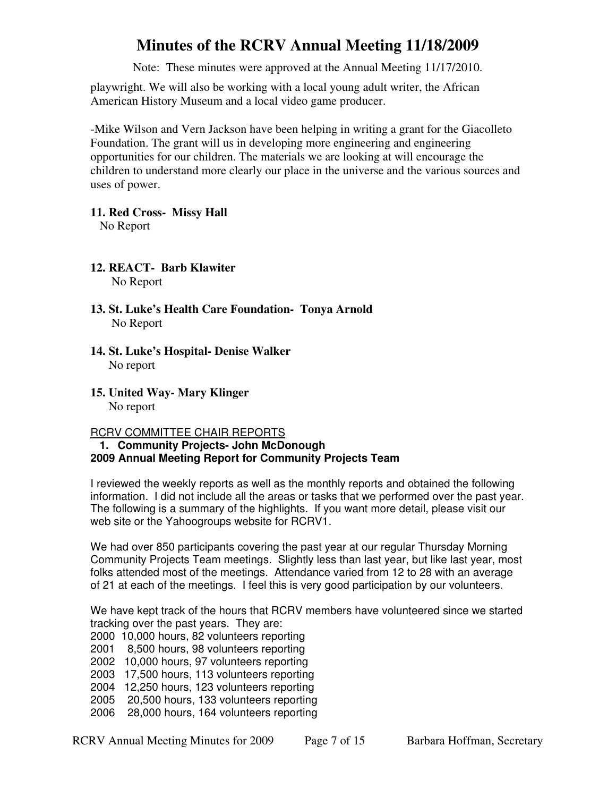Note: These minutes were approved at the Annual Meeting 11/17/2010.

playwright. We will also be working with a local young adult writer, the African American History Museum and a local video game producer.

-Mike Wilson and Vern Jackson have been helping in writing a grant for the Giacolleto Foundation. The grant will us in developing more engineering and engineering opportunities for our children. The materials we are looking at will encourage the children to understand more clearly our place in the universe and the various sources and uses of power.

**11. Red Cross- Missy Hall**  No Report

**12. REACT- Barb Klawiter**  No Report

- **13. St. Luke's Health Care Foundation- Tonya Arnold**  No Report
- **14. St. Luke's Hospital- Denise Walker**  No report
- **15. United Way- Mary Klinger**  No report

RCRV COMMITTEE CHAIR REPORTS

### **1. Community Projects- John McDonough 2009 Annual Meeting Report for Community Projects Team**

I reviewed the weekly reports as well as the monthly reports and obtained the following information. I did not include all the areas or tasks that we performed over the past year. The following is a summary of the highlights. If you want more detail, please visit our web site or the Yahoogroups website for RCRV1.

We had over 850 participants covering the past year at our regular Thursday Morning Community Projects Team meetings. Slightly less than last year, but like last year, most folks attended most of the meetings. Attendance varied from 12 to 28 with an average of 21 at each of the meetings. I feel this is very good participation by our volunteers.

We have kept track of the hours that RCRV members have volunteered since we started tracking over the past years. They are:

- 2000 10,000 hours, 82 volunteers reporting
- 2001 8,500 hours, 98 volunteers reporting
- 2002 10,000 hours, 97 volunteers reporting
- 2003 17,500 hours, 113 volunteers reporting
- 2004 12,250 hours, 123 volunteers reporting
- 2005 20,500 hours, 133 volunteers reporting
- 2006 28,000 hours, 164 volunteers reporting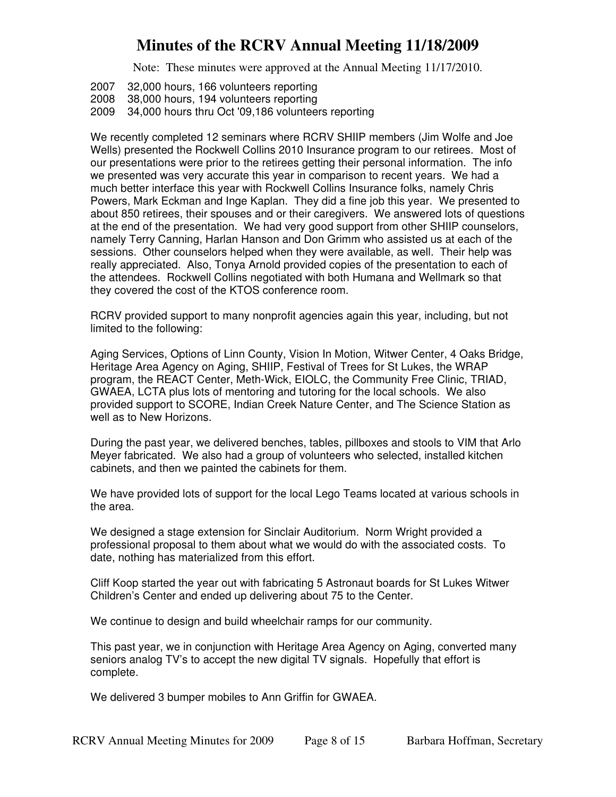Note: These minutes were approved at the Annual Meeting 11/17/2010.

2007 32,000 hours, 166 volunteers reporting

2008 38,000 hours, 194 volunteers reporting

2009 34,000 hours thru Oct '09,186 volunteers reporting

We recently completed 12 seminars where RCRV SHIIP members (Jim Wolfe and Joe Wells) presented the Rockwell Collins 2010 Insurance program to our retirees. Most of our presentations were prior to the retirees getting their personal information. The info we presented was very accurate this year in comparison to recent years. We had a much better interface this year with Rockwell Collins Insurance folks, namely Chris Powers, Mark Eckman and Inge Kaplan. They did a fine job this year. We presented to about 850 retirees, their spouses and or their caregivers. We answered lots of questions at the end of the presentation. We had very good support from other SHIIP counselors, namely Terry Canning, Harlan Hanson and Don Grimm who assisted us at each of the sessions. Other counselors helped when they were available, as well. Their help was really appreciated. Also, Tonya Arnold provided copies of the presentation to each of the attendees. Rockwell Collins negotiated with both Humana and Wellmark so that they covered the cost of the KTOS conference room.

RCRV provided support to many nonprofit agencies again this year, including, but not limited to the following:

Aging Services, Options of Linn County, Vision In Motion, Witwer Center, 4 Oaks Bridge, Heritage Area Agency on Aging, SHIIP, Festival of Trees for St Lukes, the WRAP program, the REACT Center, Meth-Wick, EIOLC, the Community Free Clinic, TRIAD, GWAEA, LCTA plus lots of mentoring and tutoring for the local schools. We also provided support to SCORE, Indian Creek Nature Center, and The Science Station as well as to New Horizons.

During the past year, we delivered benches, tables, pillboxes and stools to VIM that Arlo Meyer fabricated. We also had a group of volunteers who selected, installed kitchen cabinets, and then we painted the cabinets for them.

We have provided lots of support for the local Lego Teams located at various schools in the area.

We designed a stage extension for Sinclair Auditorium. Norm Wright provided a professional proposal to them about what we would do with the associated costs. To date, nothing has materialized from this effort.

Cliff Koop started the year out with fabricating 5 Astronaut boards for St Lukes Witwer Children's Center and ended up delivering about 75 to the Center.

We continue to design and build wheelchair ramps for our community.

This past year, we in conjunction with Heritage Area Agency on Aging, converted many seniors analog TV's to accept the new digital TV signals. Hopefully that effort is complete.

We delivered 3 bumper mobiles to Ann Griffin for GWAEA.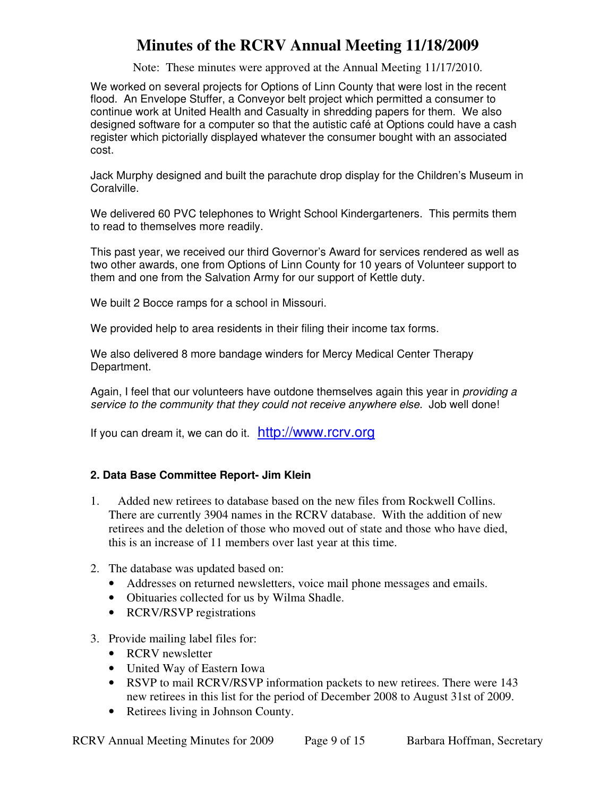Note: These minutes were approved at the Annual Meeting 11/17/2010.

We worked on several projects for Options of Linn County that were lost in the recent flood. An Envelope Stuffer, a Conveyor belt project which permitted a consumer to continue work at United Health and Casualty in shredding papers for them. We also designed software for a computer so that the autistic café at Options could have a cash register which pictorially displayed whatever the consumer bought with an associated cost.

Jack Murphy designed and built the parachute drop display for the Children's Museum in Coralville.

We delivered 60 PVC telephones to Wright School Kindergarteners. This permits them to read to themselves more readily.

This past year, we received our third Governor's Award for services rendered as well as two other awards, one from Options of Linn County for 10 years of Volunteer support to them and one from the Salvation Army for our support of Kettle duty.

We built 2 Bocce ramps for a school in Missouri.

We provided help to area residents in their filing their income tax forms.

We also delivered 8 more bandage winders for Mercy Medical Center Therapy Department.

Again, I feel that our volunteers have outdone themselves again this year in *providing a* service to the community that they could not receive anywhere else. Job well done!

If you can dream it, we can do it. http://www.rcrv.org

## **2. Data Base Committee Report- Jim Klein**

- 1. Added new retirees to database based on the new files from Rockwell Collins. There are currently 3904 names in the RCRV database. With the addition of new retirees and the deletion of those who moved out of state and those who have died, this is an increase of 11 members over last year at this time.
- 2. The database was updated based on:
	- Addresses on returned newsletters, voice mail phone messages and emails.
	- Obituaries collected for us by Wilma Shadle.
	- RCRV/RSVP registrations
- 3. Provide mailing label files for:
	- RCRV newsletter
	- United Way of Eastern Iowa
	- RSVP to mail RCRV/RSVP information packets to new retirees. There were 143 new retirees in this list for the period of December 2008 to August 31st of 2009.
	- Retirees living in Johnson County.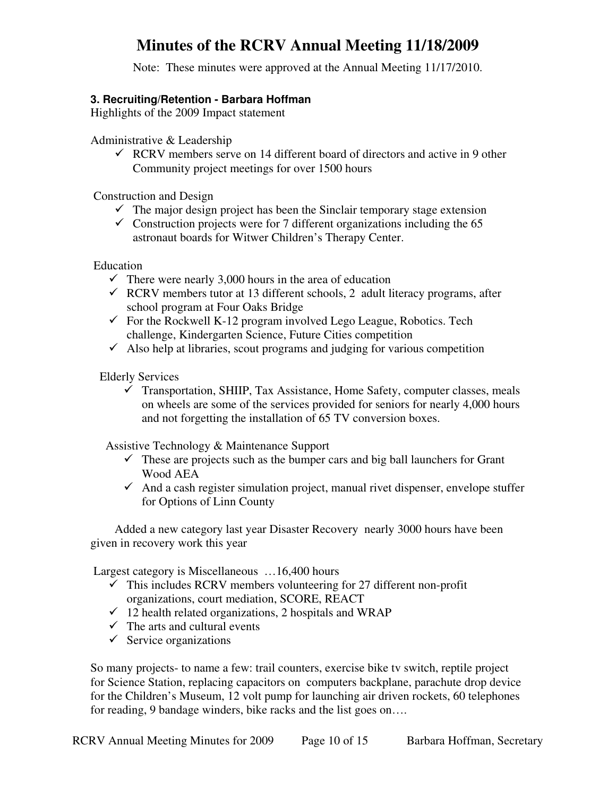Note: These minutes were approved at the Annual Meeting 11/17/2010.

### **3. Recruiting/Retention - Barbara Hoffman**

Highlights of the 2009 Impact statement

Administrative & Leadership

- RCRV members serve on 14 different board of directors and active in 9 other Community project meetings for over 1500 hours

Construction and Design

- $\checkmark$  The major design project has been the Sinclair temporary stage extension
- $\checkmark$  Construction projects were for 7 different organizations including the 65 astronaut boards for Witwer Children's Therapy Center.

Education

- $\checkmark$  There were nearly 3,000 hours in the area of education
- RCRV members tutor at 13 different schools, 2 adult literacy programs, after school program at Four Oaks Bridge
- For the Rockwell K-12 program involved Lego League, Robotics. Tech challenge, Kindergarten Science, Future Cities competition
- $\checkmark$  Also help at libraries, scout programs and judging for various competition

Elderly Services

 $\checkmark$  Transportation, SHIIP, Tax Assistance, Home Safety, computer classes, meals on wheels are some of the services provided for seniors for nearly 4,000 hours and not forgetting the installation of 65 TV conversion boxes.

Assistive Technology & Maintenance Support

- $\checkmark$  These are projects such as the bumper cars and big ball launchers for Grant Wood AEA
- And a cash register simulation project, manual rivet dispenser, envelope stuffer for Options of Linn County

 Added a new category last year Disaster Recovery nearly 3000 hours have been given in recovery work this year

Largest category is Miscellaneous …16,400 hours

- $\checkmark$  This includes RCRV members volunteering for 27 different non-profit organizations, court mediation, SCORE, REACT
- $\checkmark$  12 health related organizations, 2 hospitals and WRAP
- $\checkmark$  The arts and cultural events
- Service organizations

So many projects- to name a few: trail counters, exercise bike tv switch, reptile project for Science Station, replacing capacitors on computers backplane, parachute drop device for the Children's Museum, 12 volt pump for launching air driven rockets, 60 telephones for reading, 9 bandage winders, bike racks and the list goes on….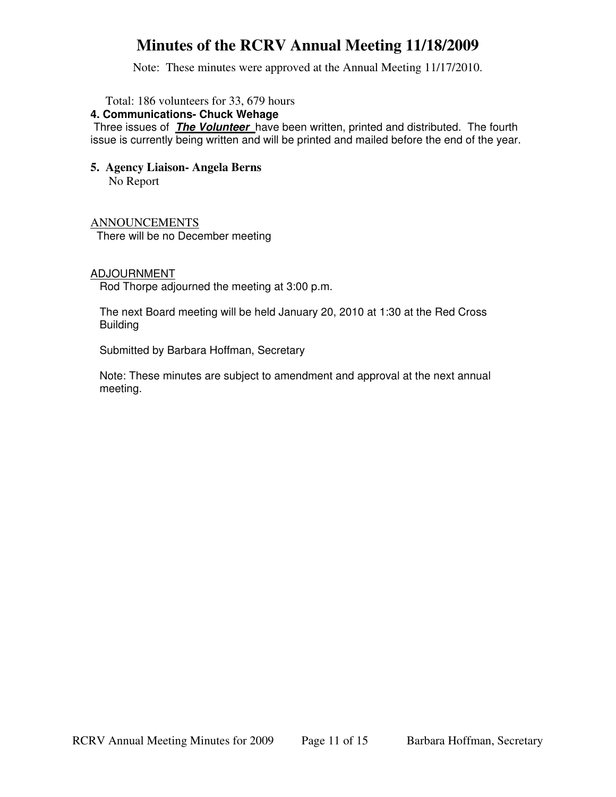Note: These minutes were approved at the Annual Meeting 11/17/2010.

Total: 186 volunteers for 33, 679 hours

#### **4. Communications- Chuck Wehage**

 Three issues of **The Volunteer** have been written, printed and distributed. The fourth issue is currently being written and will be printed and mailed before the end of the year.

### **5. Agency Liaison- Angela Berns**  No Report

ANNOUNCEMENTS

There will be no December meeting

### ADJOURNMENT

Rod Thorpe adjourned the meeting at 3:00 p.m.

The next Board meeting will be held January 20, 2010 at 1:30 at the Red Cross Building

Submitted by Barbara Hoffman, Secretary

Note: These minutes are subject to amendment and approval at the next annual meeting.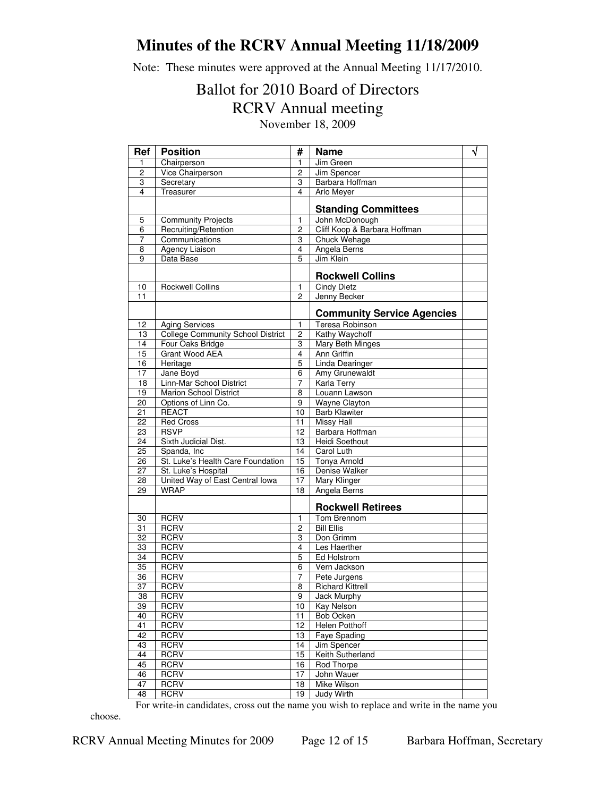Note: These minutes were approved at the Annual Meeting 11/17/2010.

## Ballot for 2010 Board of Directors RCRV Annual meeting November 18, 2009

| Ref                   | <b>Position</b>                                          | #               | <b>Name</b>                              | √ |
|-----------------------|----------------------------------------------------------|-----------------|------------------------------------------|---|
| $\mathbf{1}$          | Chairperson                                              | 1               | Jim Green                                |   |
| $\overline{c}$        | Vice Chairperson                                         | 2               | Jim Spencer                              |   |
| 3                     | Secretary                                                | 3               | Barbara Hoffman                          |   |
| 4                     | Treasurer                                                | 4               | Arlo Meyer                               |   |
|                       |                                                          |                 | <b>Standing Committees</b>               |   |
| 5                     | <b>Community Projects</b>                                | 1               | John McDonough                           |   |
| 6                     | Recruiting/Retention                                     | 2               | Cliff Koop & Barbara Hoffman             |   |
| 7                     | Communications                                           | 3               | Chuck Wehage                             |   |
| 8                     | <b>Agency Liaison</b>                                    | 4               | Angela Berns                             |   |
| 9                     | Data Base                                                | 5               | Jim Klein                                |   |
|                       |                                                          |                 | <b>Rockwell Collins</b>                  |   |
| 10                    | <b>Rockwell Collins</b>                                  | 1               | <b>Cindy Dietz</b>                       |   |
| 11                    |                                                          | $\overline{2}$  | Jenny Becker                             |   |
|                       |                                                          |                 | <b>Community Service Agencies</b>        |   |
| 12                    | <b>Aging Services</b>                                    | 1               | Teresa Robinson                          |   |
| 13                    | <b>College Community School District</b>                 | $\overline{2}$  | Kathy Waychoff                           |   |
| 14                    | Four Oaks Bridge                                         | 3               | <b>Mary Beth Minges</b>                  |   |
| 15                    | <b>Grant Wood AEA</b>                                    | $\overline{4}$  | <b>Ann Griffin</b>                       |   |
| 16                    | Heritage                                                 | $\overline{5}$  | <b>Linda Dearinger</b>                   |   |
| 17                    | Jane Boyd                                                | 6               | Amy Grunewaldt                           |   |
| 18                    | Linn-Mar School District                                 | 7               | <b>Karla Terry</b>                       |   |
| 19                    | Marion School District                                   | 8               | Louann Lawson                            |   |
| 20                    | Options of Linn Co.                                      | 9               | <b>Wayne Clayton</b>                     |   |
| 21                    | <b>REACT</b>                                             | 10              | <b>Barb Klawiter</b>                     |   |
| $\overline{22}$       | <b>Red Cross</b>                                         | 11              | <b>Missy Hall</b>                        |   |
| 23                    | <b>RSVP</b>                                              | 12              | Barbara Hoffman<br><b>Heidi Soethout</b> |   |
| 24                    | Sixth Judicial Dist.                                     | 13              |                                          |   |
| 25                    | Spanda, Inc                                              | 14              | Carol Luth                               |   |
| 26<br>$\overline{27}$ | St. Luke's Health Care Foundation<br>St. Luke's Hospital | 15<br>16        | <b>Tonya Arnold</b><br>Denise Walker     |   |
| 28                    | United Way of East Central Iowa                          | $\overline{17}$ | <b>Mary Klinger</b>                      |   |
| 29                    | <b>WRAP</b>                                              | $\overline{18}$ | Angela Berns                             |   |
|                       |                                                          |                 |                                          |   |
|                       |                                                          |                 | <b>Rockwell Retirees</b>                 |   |
| 30                    | <b>RCRV</b>                                              | 1               | Tom Brennom                              |   |
| $\overline{31}$       | <b>RCRV</b>                                              | $\overline{2}$  | <b>Bill Ellis</b>                        |   |
| 32                    | <b>RCRV</b>                                              | 3               | Don Grimm                                |   |
| 33                    | <b>RCRV</b>                                              | 4               | Les Haerther                             |   |
| 34                    | <b>RCRV</b>                                              | 5               | Ed Holstrom                              |   |
| 35                    | <b>RCRV</b>                                              | 6               | Vern Jackson                             |   |
| 36                    | <b>RCRV</b>                                              | 7               | Pete Jurgens                             |   |
| 37                    | <b>RCRV</b>                                              | 8               | <b>Richard Kittrell</b>                  |   |
| 38                    | <b>RCRV</b>                                              | 9               | Jack Murphy                              |   |
| 39                    | <b>RCRV</b>                                              | 10              | Kay Nelson                               |   |
| 40                    | <b>RCRV</b>                                              | 11              | Bob Ocken                                |   |
| 41                    | <b>RCRV</b>                                              | 12              | <b>Helen Potthoff</b>                    |   |
| 42                    | <b>RCRV</b>                                              | 13              | Faye Spading                             |   |
| 43                    | <b>RCRV</b>                                              | 14              | Jim Spencer                              |   |
| 44                    | <b>RCRV</b>                                              | 15              | Keith Sutherland                         |   |
| 45                    | <b>RCRV</b>                                              | 16              | Rod Thorpe                               |   |
| 46                    | <b>RCRV</b>                                              | 17              | John Wauer                               |   |
| 47                    | <b>RCRV</b>                                              | 18              | Mike Wilson                              |   |
| 48                    | <b>RCRV</b>                                              | 19              | <b>Judy Wirth</b>                        |   |

For write-in candidates, cross out the name you wish to replace and write in the name you

choose.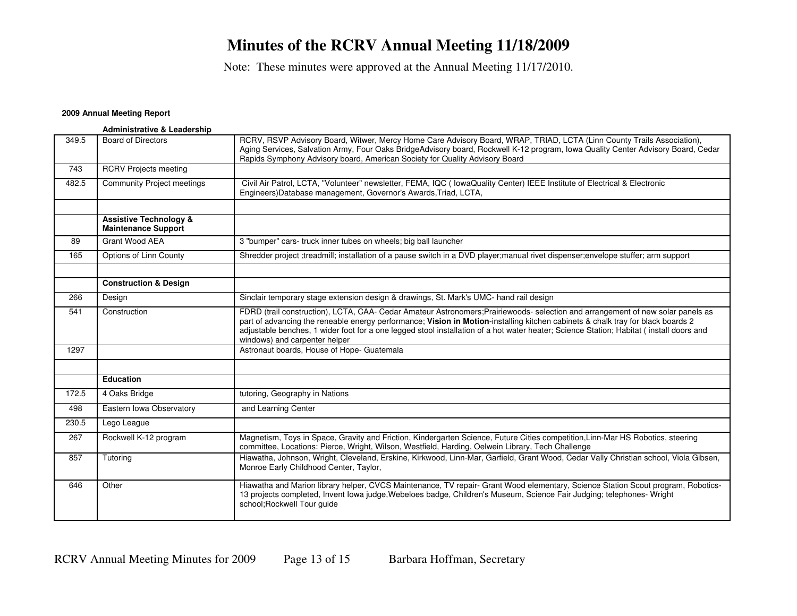Note: These minutes were approved at the Annual Meeting 11/17/2010.

#### **2009 Annual Meeting Report**

|       | <b>Administrative &amp; Leadership</b>                          |                                                                                                                                                                                                                                                                                                                                                                                                                                                |
|-------|-----------------------------------------------------------------|------------------------------------------------------------------------------------------------------------------------------------------------------------------------------------------------------------------------------------------------------------------------------------------------------------------------------------------------------------------------------------------------------------------------------------------------|
| 349.5 | <b>Board of Directors</b>                                       | RCRV, RSVP Advisory Board, Witwer, Mercy Home Care Advisory Board, WRAP, TRIAD, LCTA (Linn County Trails Association),<br>Aging Services, Salvation Army, Four Oaks BridgeAdvisory board, Rockwell K-12 program, Iowa Quality Center Advisory Board, Cedar<br>Rapids Symphony Advisory board, American Society for Quality Advisory Board                                                                                                      |
| 743   | <b>RCRV Projects meeting</b>                                    |                                                                                                                                                                                                                                                                                                                                                                                                                                                |
| 482.5 | <b>Community Project meetings</b>                               | Civil Air Patrol, LCTA, "Volunteer" newsletter, FEMA, IQC ( lowaQuality Center) IEEE Institute of Electrical & Electronic<br>Engineers) Database management, Governor's Awards, Triad, LCTA,                                                                                                                                                                                                                                                   |
|       |                                                                 |                                                                                                                                                                                                                                                                                                                                                                                                                                                |
|       | <b>Assistive Technology &amp;</b><br><b>Maintenance Support</b> |                                                                                                                                                                                                                                                                                                                                                                                                                                                |
| 89    | Grant Wood AEA                                                  | 3 "bumper" cars- truck inner tubes on wheels; big ball launcher                                                                                                                                                                                                                                                                                                                                                                                |
| 165   | Options of Linn County                                          | Shredder project :treadmill; installation of a pause switch in a DVD player;manual rivet dispenser;envelope stuffer; arm support                                                                                                                                                                                                                                                                                                               |
|       |                                                                 |                                                                                                                                                                                                                                                                                                                                                                                                                                                |
|       | <b>Construction &amp; Design</b>                                |                                                                                                                                                                                                                                                                                                                                                                                                                                                |
| 266   | Design                                                          | Sinclair temporary stage extension design & drawings, St. Mark's UMC- hand rail design                                                                                                                                                                                                                                                                                                                                                         |
| 541   | Construction                                                    | FDRD (trail construction), LCTA, CAA- Cedar Amateur Astronomers; Prairiewoods- selection and arrangement of new solar panels as<br>part of advancing the reneable energy performance; Vision in Motion-installing kitchen cabinets & chalk tray for black boards 2<br>adjustable benches, 1 wider foot for a one legged stool installation of a hot water heater; Science Station; Habitat (install doors and<br>windows) and carpenter helper |
| 1297  |                                                                 | Astronaut boards, House of Hope- Guatemala                                                                                                                                                                                                                                                                                                                                                                                                     |
|       |                                                                 |                                                                                                                                                                                                                                                                                                                                                                                                                                                |
|       | <b>Education</b>                                                |                                                                                                                                                                                                                                                                                                                                                                                                                                                |
| 172.5 | 4 Oaks Bridge                                                   | tutoring, Geography in Nations                                                                                                                                                                                                                                                                                                                                                                                                                 |
| 498   | Eastern Iowa Observatory                                        | and Learning Center                                                                                                                                                                                                                                                                                                                                                                                                                            |
| 230.5 | Lego League                                                     |                                                                                                                                                                                                                                                                                                                                                                                                                                                |
| 267   | Rockwell K-12 program                                           | Magnetism, Toys in Space, Gravity and Friction, Kindergarten Science, Future Cities competition, Linn-Mar HS Robotics, steering<br>committee, Locations: Pierce, Wright, Wilson, Westfield, Harding, Oelwein Library, Tech Challenge                                                                                                                                                                                                           |
| 857   | Tutoring                                                        | Hiawatha, Johnson, Wright, Cleveland, Erskine, Kirkwood, Linn-Mar, Garfield, Grant Wood, Cedar Vally Christian school, Viola Gibsen,<br>Monroe Early Childhood Center, Taylor,                                                                                                                                                                                                                                                                 |
| 646   | Other                                                           | Hiawatha and Marion library helper, CVCS Maintenance, TV repair- Grant Wood elementary, Science Station Scout program, Robotics-<br>13 projects completed, Invent Iowa judge, Webeloes badge, Children's Museum, Science Fair Judging; telephones- Wright<br>school; Rockwell Tour guide                                                                                                                                                       |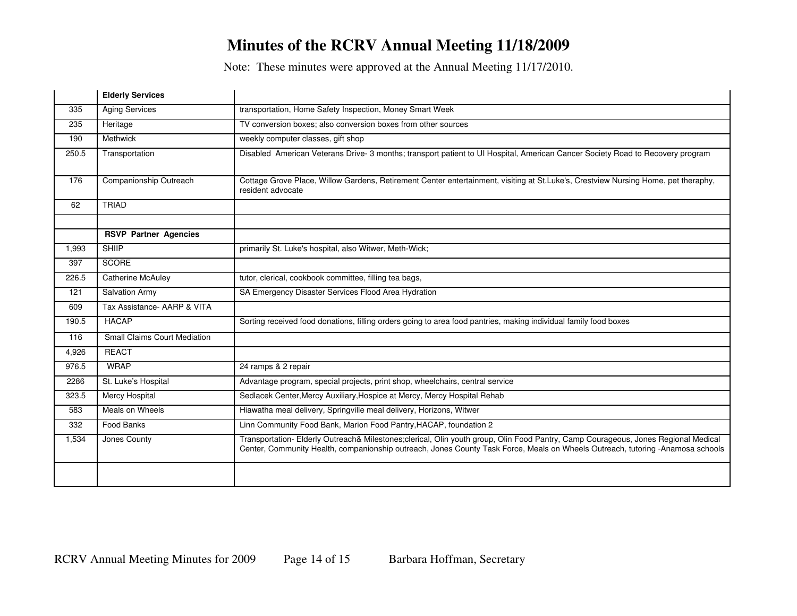Note: These minutes were approved at the Annual Meeting 11/17/2010.

|       | <b>Elderly Services</b>             |                                                                                                                                                                                                                                                                      |
|-------|-------------------------------------|----------------------------------------------------------------------------------------------------------------------------------------------------------------------------------------------------------------------------------------------------------------------|
| 335   | <b>Aging Services</b>               | transportation, Home Safety Inspection, Money Smart Week                                                                                                                                                                                                             |
| 235   | Heritage                            | TV conversion boxes; also conversion boxes from other sources                                                                                                                                                                                                        |
| 190   | Methwick                            | weekly computer classes, gift shop                                                                                                                                                                                                                                   |
| 250.5 | Transportation                      | Disabled American Veterans Drive- 3 months; transport patient to UI Hospital, American Cancer Society Road to Recovery program                                                                                                                                       |
| 176   | Companionship Outreach              | Cottage Grove Place, Willow Gardens, Retirement Center entertainment, visiting at St.Luke's, Crestview Nursing Home, pet theraphy,<br>resident advocate                                                                                                              |
| 62    | <b>TRIAD</b>                        |                                                                                                                                                                                                                                                                      |
|       |                                     |                                                                                                                                                                                                                                                                      |
|       | <b>RSVP Partner Agencies</b>        |                                                                                                                                                                                                                                                                      |
| 1,993 | <b>SHIIP</b>                        | primarily St. Luke's hospital, also Witwer, Meth-Wick;                                                                                                                                                                                                               |
| 397   | <b>SCORE</b>                        |                                                                                                                                                                                                                                                                      |
| 226.5 | <b>Catherine McAuley</b>            | tutor, clerical, cookbook committee, filling tea bags,                                                                                                                                                                                                               |
| 121   | <b>Salvation Army</b>               | SA Emergency Disaster Services Flood Area Hydration                                                                                                                                                                                                                  |
| 609   | Tax Assistance- AARP & VITA         |                                                                                                                                                                                                                                                                      |
| 190.5 | <b>HACAP</b>                        | Sorting received food donations, filling orders going to area food pantries, making individual family food boxes                                                                                                                                                     |
| 116   | <b>Small Claims Court Mediation</b> |                                                                                                                                                                                                                                                                      |
| 4,926 | <b>REACT</b>                        |                                                                                                                                                                                                                                                                      |
| 976.5 | <b>WRAP</b>                         | 24 ramps & 2 repair                                                                                                                                                                                                                                                  |
| 2286  | St. Luke's Hospital                 | Advantage program, special projects, print shop, wheelchairs, central service                                                                                                                                                                                        |
| 323.5 | <b>Mercy Hospital</b>               | Sedlacek Center, Mercy Auxiliary, Hospice at Mercy, Mercy Hospital Rehab                                                                                                                                                                                             |
| 583   | Meals on Wheels                     | Hiawatha meal delivery, Springville meal delivery, Horizons, Witwer                                                                                                                                                                                                  |
| 332   | Food Banks                          | Linn Community Food Bank, Marion Food Pantry, HACAP, foundation 2                                                                                                                                                                                                    |
| 1,534 | Jones County                        | Transportation- Elderly Outreach& Milestones;clerical, Olin youth group, Olin Food Pantry, Camp Courageous, Jones Regional Medical<br>Center, Community Health, companionship outreach, Jones County Task Force, Meals on Wheels Outreach, tutoring -Anamosa schools |
|       |                                     |                                                                                                                                                                                                                                                                      |